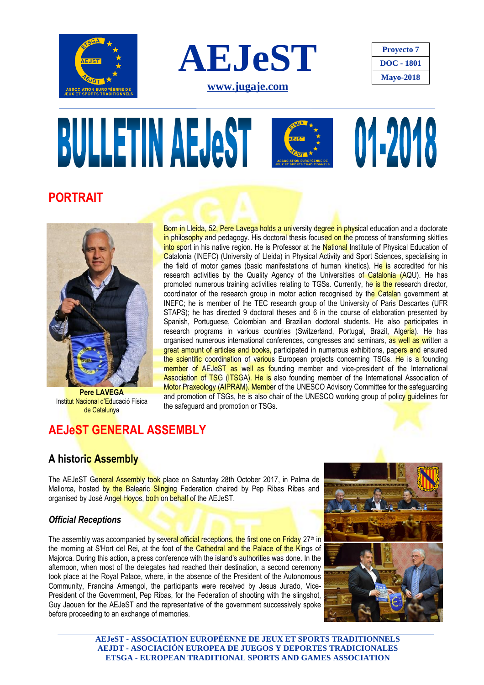





# **BULLETIN AEJAST** 01-2018

## **PORTRAIT**



**Pere LAVEGA** Institut Nacional d'Educació Física de Catalunya

Born in Lleida, 52, Pere Lavega holds a university degree in physical education and a doctorate in philosophy and pedagogy. His doctoral thesis focused on the process of transforming skittles into sport in his native region. He is Professor at the National Institute of Physical Education of Catalonia (INEFC) (University of Lleida) in Physical Activity and Sport Sciences, specialising in the field of motor games (basic manifestations of human kinetics). He is accredited for his research activities by the Quality Agency of the Universities of Catalonia (AQU). He has promoted numerous training activities relating to TGSs. Currently, he is the research director, coordinator of the research group in motor action recognised by the Catalan government at INEFC; he is member of the TEC research group of the University of Paris Descartes (UFR STAPS); he has directed 9 doctoral theses and 6 in the course of elaboration presented by Spanish, Portuguese, Colombian and Brazilian doctoral students. He also participates in research programs in various countries (Switzerland, Portugal, Brazil, Algeria). He has organised numerous international conferences, congresses and seminars, as well as written a great amount of articles and books, participated in numerous exhibitions, papers and ensured the scientific coordination of various European projects concerning TSGs. He is a founding member of AEJeST as well as founding member and vice-president of the International Association of TSG (ITSGA). He is also founding member of the International Association of Motor Praxeology (AIPRAM). Member of the UNESCO Advisory Committee for the safeguarding and promotion of TSGs, he is also chair of the UNESCO working group of policy guidelines for the safeguard and promotion or TSGs.

## **AEJeST GENERAL ASSEMBLY**

## **A historic Assembly**

The AEJeST General Assembly took place on Saturday 28th October 2017, in Palma de Mallorca, hosted by the Balearic Slinging Federation chaired by Pep Ribas Ribas and organised by José Angel Hoyos, both on behalf of the AEJeST.

#### *Official Receptions*

The assembly was accompanied by several official receptions, the first one on Friday 27<sup>th</sup> in the morning at S'Hort del Rei, at the foot of the Cathedral and the Palace of the Kings of Majorca. During this action, a press conference with the island's authorities was done. In the afternoon, when most of the delegates had reached their destination, a second ceremony took place at the Royal Palace, where, in the absence of the President of the Autonomous Community, Francina Armengol, the participants were received by Jesus Jurado, Vice-President of the Government, Pep Ribas, for the Federation of shooting with the slingshot, Guy Jaouen for the AEJeST and the representative of the government successively spoke before proceeding to an exchange of memories.



**AEJeST - ASSOCIATION EUROPÉENNE DE JEUX ET SPORTS TRADITIONNELS AEJDT - ASOCIACIÓN EUROPEA DE JUEGOS Y DEPORTES TRADICIONALES ETSGA - EUROPEAN TRADITIONAL SPORTS AND GAMES ASSOCIATION**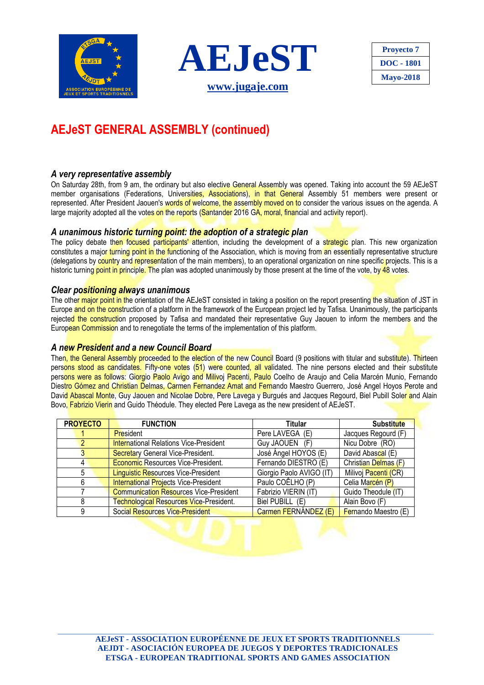





# **AEJeST GENERAL ASSEMBLY (continued)**

#### *A very representative assembly*

On Saturday 28th, from 9 am, the ordinary but also elective General Assembly was opened. Taking into account the 59 AEJeST member organisations (Federations, Universities, Associations), in that General Assembly 51 members were present or represented. After President Jaouen's words of welcome, the assembly moved on to consider the various issues on the agenda. A large majority adopted all the votes on the reports (Santander 2016 GA, moral, financial and activity report).

#### *A unanimous historic turning point: the adoption of a strategic plan*

The policy debate then focused participants' attention, including the development of a strategic plan. This new organization constitutes a major turning point in the functioning of the Association, which is moving from an essentially representative structure (delegations by country and representation of the main members), to an operational organization on nine specific projects. This is a historic turning point in principle. The plan was adopted unanimously by those present at the time of the vote, by 48 votes.

#### *Clear positioning always unanimous*

The other major point in the orientation of the AEJeST consisted in taking a position on the report presenting the situation of JST in Europe and on the construction of a platform in the framework of the European project led by Tafisa. Unanimously, the participants rejected the construction proposed by Tafisa and mandated their representative Guy Jaouen to inform the members and the European Commission and to renegotiate the terms of the implementation of this platform.

#### *A new President and a new Council Board*

Then, the General Assembly proceeded to the election of the new Council Board (9 positions with titular and substitute). Thirteen persons stood as candidates. Fifty-one votes (51) were counted, all validated. The nine persons elected and their substitute persons were as follows: Giorgio Paolo Avigo and Milivoj Pacenti, Paulo Coelho de Araujo and Celia Marcén Munio, Fernando Diestro Gómez and Christian Delmas, Carmen Fernandez Amat and Fernando Maestro Guerrero, José Angel Hoyos Perote and David Abascal Monte, Guy Jaouen and Nicolae Dobre, Pere Lavega y Burgués and Jacques Regourd, Biel Pubill Soler and Alain Bovo, Fabrizio Vierin and Guido Théodule. They elected Pere Lavega as the new president of AEJeST.

| <b>PROYECTO</b> | <b>FUNCTION</b>                                | Titular                  | <b>Substitute</b>    |
|-----------------|------------------------------------------------|--------------------------|----------------------|
|                 | <b>President</b>                               | Pere LAVEGA (E)          | Jacques Regourd (F)  |
|                 | <b>International Relations Vice-President</b>  | Guy JAOUEN (F)           | Nicu Dobre (RO)      |
|                 | <b>Secretary General Vice-President.</b>       | José Ángel HOYOS (E)     | David Abascal (E)    |
|                 | <b>Economic Resources Vice-President.</b>      | Fernando DIESTRO (E)     | Christian Delmas (F) |
| 5               | <b>Linguistic Resources Vice-President</b>     | Giorgio Paolo AVIGO (IT) | Milivoj Pacenti (CR) |
| 6               | <b>International Projects Vice-President</b>   | Paulo COÊLHO (P)         | Celia Marcén (P)     |
|                 | <b>Communication Resources Vice-President</b>  | Fabrizio VIERIN (IT)     | Guido Theodule (IT)  |
| 8               | <b>Technological Resources Vice-President.</b> | Biel PUBILL (E)          | Alain Bovo (F)       |
| 9               | <b>Social Resources Vice-President</b>         | Carmen FERNÁNDEZ (E)     | Fernando Maestro (E) |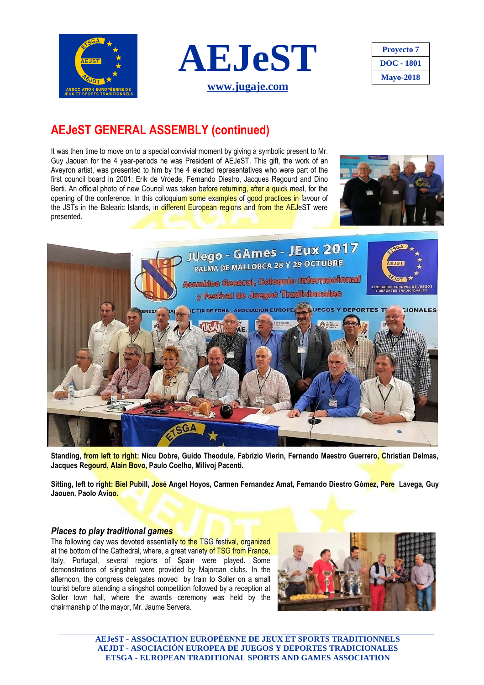



| <b>Proyecto</b> 7 |  |
|-------------------|--|
| DOC - 1801        |  |
| <b>Mayo-2018</b>  |  |

## **AEJeST GENERAL ASSEMBLY (continued)**

It was then time to move on to a special convivial moment by giving a symbolic present to Mr. Guy Jaouen for the 4 year-periods he was President of AEJeST. This gift, the work of an Aveyron artist, was presented to him by the 4 elected representatives who were part of the first council board in 2001: Erik de Vroede, Fernando Diestro, Jacques Regourd and Dino Berti. An official photo of new Council was taken before returning, after a quick meal, for the opening of the conference. In this colloquium some examples of good practices in favour of the JSTs in the Balearic Islands, in different European regions and from the AEJeST were presented.





**Standing, from left to right: Nicu Dobre, Guido Theodule, Fabrizio Vierin, Fernando Maestro Guerrero, Christian Delmas, Jacques Regourd, Alain Bovo, Paulo Coelho, Milivoj Pacenti.**

**Sitting, left to right: Biel Pubill, José Angel Hoyos, Carmen Fernandez Amat, Fernando Diestro Gómez, Pere Lavega, Guy Jaouen, Paolo Avigo.**

#### *Places to play traditional games*

The following day was devoted essentially to the TSG festival, organized at the bottom of the Cathedral, where, a great variety of TSG from France, Italy, Portugal, several regions of Spain were played. Some demonstrations of slingshot were provided by Majorcan clubs. In the afternoon, the congress delegates moved by train to Soller on a small tourist before attending a slingshot competition followed by a reception at Soller town hall, where the awards ceremony was held by the chairmanship of the mayor, Mr. Jaume Servera.



**AEJeST - ASSOCIATION EUROPÉENNE DE JEUX ET SPORTS TRADITIONNELS AEJDT - ASOCIACIÓN EUROPEA DE JUEGOS Y DEPORTES TRADICIONALES ETSGA - EUROPEAN TRADITIONAL SPORTS AND GAMES ASSOCIATION**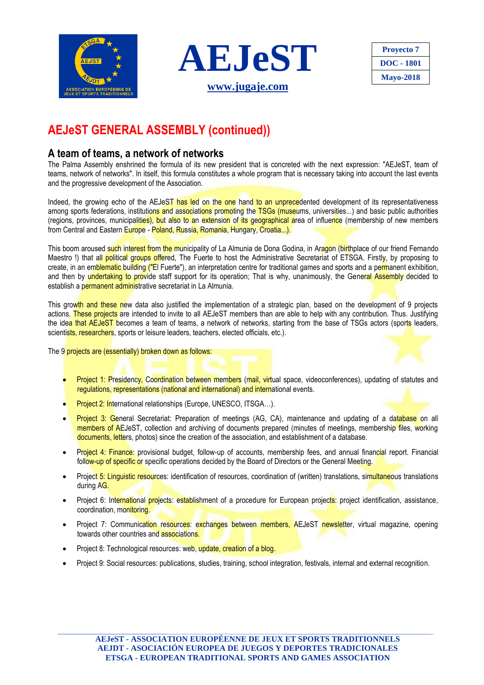



| <b>Proyecto</b> 7 |  |
|-------------------|--|
| DOC - 1801        |  |
| <b>Mayo-2018</b>  |  |

# **AEJeST GENERAL ASSEMBLY (continued))**

### **A team of teams, a network of networks**

The Palma Assembly enshrined the formula of its new president that is concreted with the next expression: "AEJeST, team of teams, network of networks". In itself, this formula constitutes a whole program that is necessary taking into account the last events and the progressive development of the Association.

Indeed, the growing echo of the AEJeST has led on the one hand to an unprecedented development of its representativeness among sports federations, institutions and associations promoting the TSGs (museums, universities...) and basic public authorities (regions, provinces, municipalities), but also to an extension of its geographical area of influence (membership of new members from Central and Eastern Europe - Poland, Russia, Romania, Hungary, Croatia...).

This boom aroused such interest from the municipality of La Almunia de Dona Godina, in Aragon (birthplace of our friend Fernando Maestro !) that all political groups offered. The Fuerte to host the Administrative Secretariat of ETSGA. Firstly, by proposing to create, in an emblematic building ("El Fuerte"), an interpretation centre for traditional games and sports and a permanent exhibition, and then by undertaking to provide staff support for its operation; That is why, unanimously, the General Assembly decided to establish a permanent administrative secretariat in La Almunia.

This growth and these new data also justified the implementation of a strategic plan, based on the development of 9 projects actions. These projects are intended to invite to all AEJeST members than are able to help with any contribution. Thus. Justifying the idea that AEJeST becomes a team of teams, a network of networks, starting from the base of TSGs actors (sports leaders, scientists, researchers, sports or leisure leaders, teachers, elected officials, etc.).

The 9 projects are (essentially) broken down as follows:

- Project 1: Presidency, Coordination between members (mail, virtual space, videoconferences), updating of statutes and regulations, representations (national and international) and international events.
- Project 2: International relationships (Europe, UNESCO, ITSGA…).
- Project 3: General Secretariat: Preparation of meetings (AG, CA), maintenance and updating of a database on all members of AEJeST, collection and archiving of documents prepared (minutes of meetings, membership files, working documents, letters, photos) since the creation of the association, and establishment of a database.
- Project 4: Finance: provisional budget, follow-up of accounts, membership fees, and annual financial report. Financial follow-up of specific or specific operations decided by the Board of Directors or the General Meeting.
- Project 5: Linguistic resources: identification of resources, coordination of (written) translations, simultaneous translations during AG.
- Project 6: International projects: establishment of a procedure for European projects: project identification, assistance, coordination, monitoring.
- Project 7: Communication resources: exchanges between members, AEJeST newsletter, virtual magazine, opening towards other countries and associations.
- Project 8: Technological resources: web, update, creation of a blog.
- Project 9: Social resources: publications, studies, training, school integration, festivals, internal and external recognition.